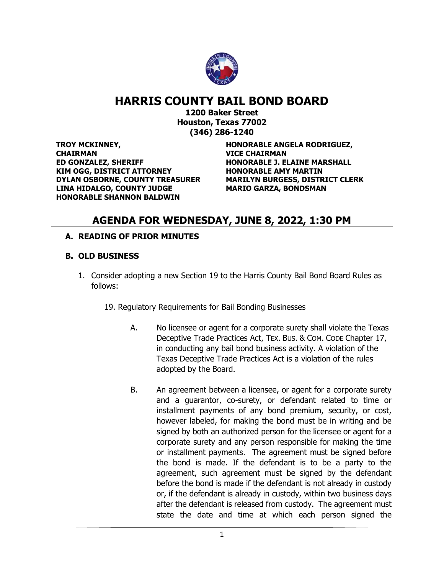

# **HARRIS COUNTY BAIL BOND BOARD**

**1200 Baker Street Houston, Texas 77002 (346) 286-1240**

**TROY MCKINNEY, CHAIRMAN ED GONZALEZ, SHERIFF HONORABLE J. ELAINE MARSHALL KIM OGG, DISTRICT ATTORNEY HONORABLE AMY MARTIN DYLAN OSBORNE, COUNTY TREASURER MARILYN BURGESS, DISTRICT CLERK** LINA HIDALGO, COUNTY JUDGE MARIO GARZA, BONDSMAN **HONORABLE SHANNON BALDWIN**

**HONORABLE ANGELA RODRIGUEZ, VICE CHAIRMAN**

## **AGENDA FOR WEDNESDAY, JUNE 8, 2022, 1:30 PM**

### **A. READING OF PRIOR MINUTES**

### **B. OLD BUSINESS**

1. Consider adopting a new Section 19 to the Harris County Bail Bond Board Rules as follows:

19. Regulatory Requirements for Bail Bonding Businesses

- A. No licensee or agent for a corporate surety shall violate the Texas Deceptive Trade Practices Act, TEX. BUS. & COM. CODE Chapter 17, in conducting any bail bond business activity. A violation of the Texas Deceptive Trade Practices Act is a violation of the rules adopted by the Board.
- B. An agreement between a licensee, or agent for a corporate surety and a guarantor, co-surety, or defendant related to time or installment payments of any bond premium, security, or cost, however labeled, for making the bond must be in writing and be signed by both an authorized person for the licensee or agent for a corporate surety and any person responsible for making the time or installment payments. The agreement must be signed before the bond is made. If the defendant is to be a party to the agreement, such agreement must be signed by the defendant before the bond is made if the defendant is not already in custody or, if the defendant is already in custody, within two business days after the defendant is released from custody. The agreement must state the date and time at which each person signed the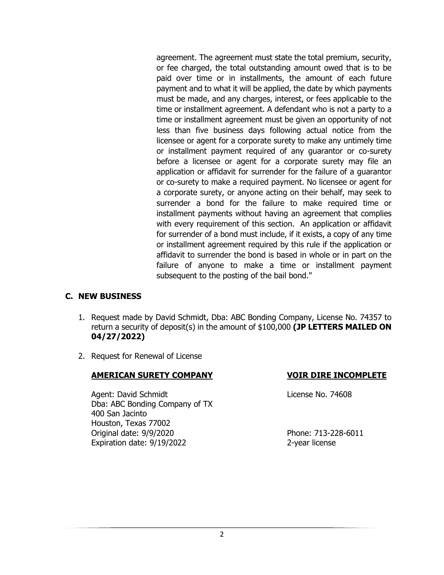agreement. The agreement must state the total premium, security, or fee charged, the total outstanding amount owed that is to be paid over time or in installments, the amount of each future payment and to what it will be applied, the date by which payments must be made, and any charges, interest, or fees applicable to the time or installment agreement. A defendant who is not a party to a time or installment agreement must be given an opportunity of not less than five business days following actual notice from the licensee or agent for a corporate surety to make any untimely time or installment payment required of any guarantor or co-surety before a licensee or agent for a corporate surety may file an application or affidavit for surrender for the failure of a guarantor or co-surety to make a required payment. No licensee or agent for a corporate surety, or anyone acting on their behalf, may seek to surrender a bond for the failure to make required time or installment payments without having an agreement that complies with every requirement of this section. An application or affidavit for surrender of a bond must include, if it exists, a copy of any time or installment agreement required by this rule if the application or affidavit to surrender the bond is based in whole or in part on the failure of anyone to make a time or installment payment subsequent to the posting of the bail bond."

#### **C. NEW BUSINESS**

- 1. Request made by David Schmidt, Dba: ABC Bonding Company, License No. 74357 to return a security of deposit(s) in the amount of \$100,000 **(JP LETTERS MAILED ON 04/27/2022)**
- 2. Request for Renewal of License

### **AMERICAN SURETY COMPANY VOIR DIRE INCOMPLETE**

Agent: David Schmidt License No. 74608 Dba: ABC Bonding Company of TX 400 San Jacinto Houston, Texas 77002 Original date: 9/9/2020 Phone: 713-228-6011 Expiration date: 9/19/2022 2-year license